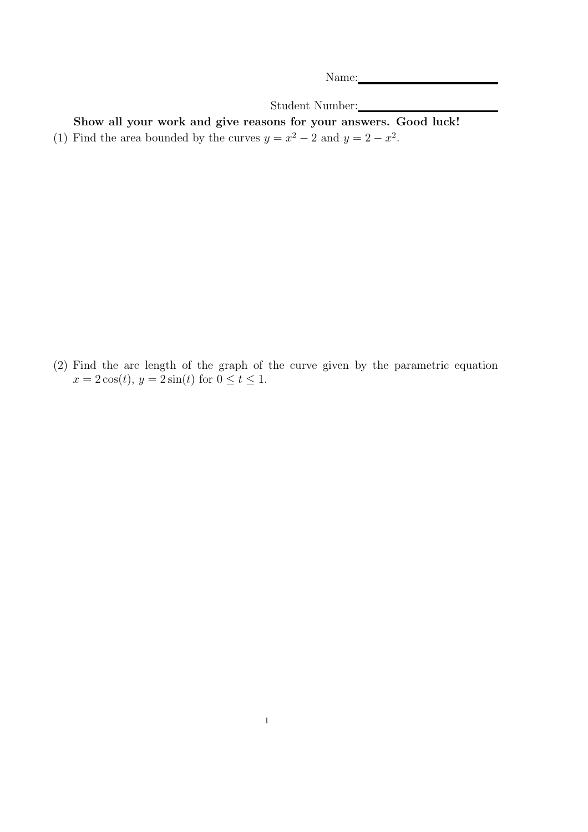Name:

Student Number:

Show all your work and give reasons for your answers. Good luck! (1) Find the area bounded by the curves  $y = x^2 - 2$  and  $y = 2 - x^2$ .

(2) Find the arc length of the graph of the curve given by the parametric equation  $x = 2\cos(t), y = 2\sin(t)$  for  $0 \le t \le 1$ .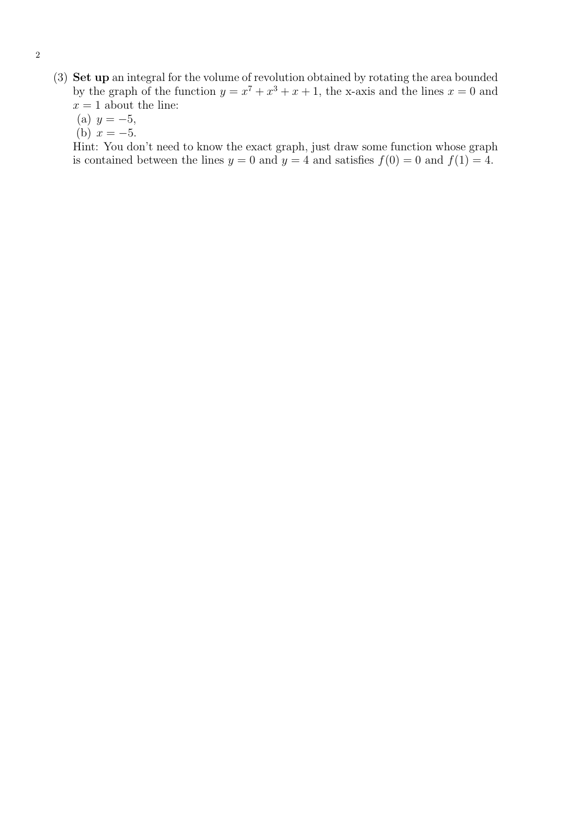- (3) Set up an integral for the volume of revolution obtained by rotating the area bounded by the graph of the function  $y = x^7 + x^3 + x + 1$ , the x-axis and the lines  $x = 0$  and  $x = 1$  about the line:
	- (a)  $y = -5$ ,
	- (b)  $x = -5$ .

Hint: You don't need to know the exact graph, just draw some function whose graph is contained between the lines  $y = 0$  and  $y = 4$  and satisfies  $f(0) = 0$  and  $f(1) = 4$ .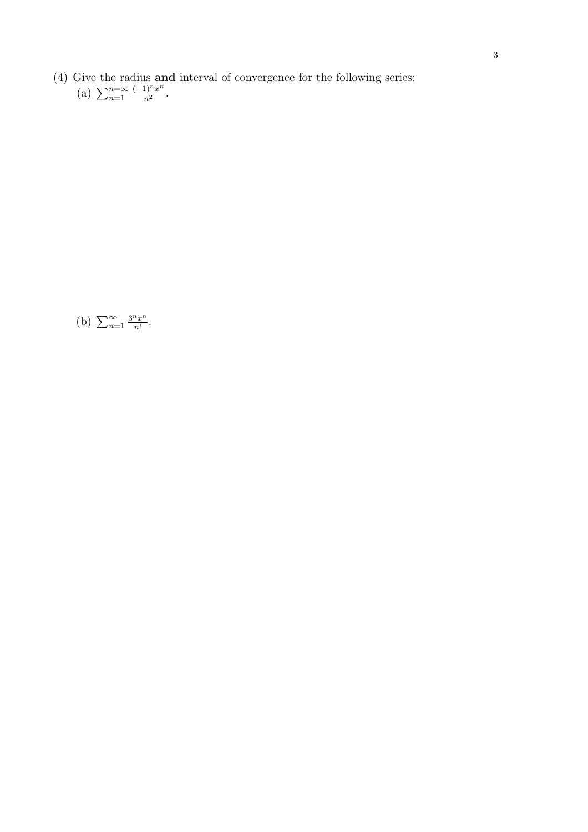- (4) Give the radius **and** interval of convergence for the following series:<br>
(a)  $\sum_{n=1}^{n=\infty} \frac{(-1)^n x^n}{n^2}$ .
	- $(-1)^n x^n$  $\frac{1)^n x^n}{n^2}.$

(b)  $\sum_{n=1}^{\infty}$  $3^n x^n$  $\frac{d^n x^n}{n!}$ .